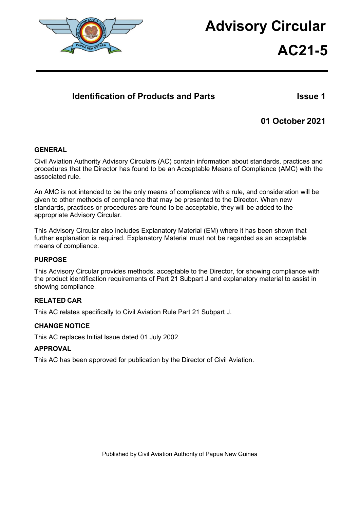

# **Advisory Circular AC21-5**

# **Identification of Products and Parts Issue 1**

# **01 October 2021**

## **GENERAL**

Civil Aviation Authority Advisory Circulars (AC) contain information about standards, practices and procedures that the Director has found to be an Acceptable Means of Compliance (AMC) with the associated rule.

An AMC is not intended to be the only means of compliance with a rule, and consideration will be given to other methods of compliance that may be presented to the Director. When new standards, practices or procedures are found to be acceptable, they will be added to the appropriate Advisory Circular.

This Advisory Circular also includes Explanatory Material (EM) where it has been shown that further explanation is required. Explanatory Material must not be regarded as an acceptable means of compliance.

#### **PURPOSE**

This Advisory Circular provides methods, acceptable to the Director, for showing compliance with the product identification requirements of Part 21 Subpart J and explanatory material to assist in showing compliance.

## **RELATED CAR**

This AC relates specifically to Civil Aviation Rule Part 21 Subpart J.

#### **CHANGE NOTICE**

This AC replaces Initial Issue dated 01 July 2002.

## **APPROVAL**

This AC has been approved for publication by the Director of Civil Aviation.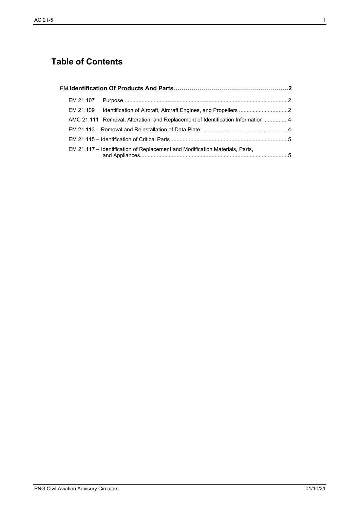# **Table of Contents**

|  |  | AMC 21.111 Removal, Alteration, and Replacement of Identification Information4 |  |  |
|--|--|--------------------------------------------------------------------------------|--|--|
|  |  |                                                                                |  |  |
|  |  |                                                                                |  |  |
|  |  | EM 21.117 – Identification of Replacement and Modification Materials, Parts,   |  |  |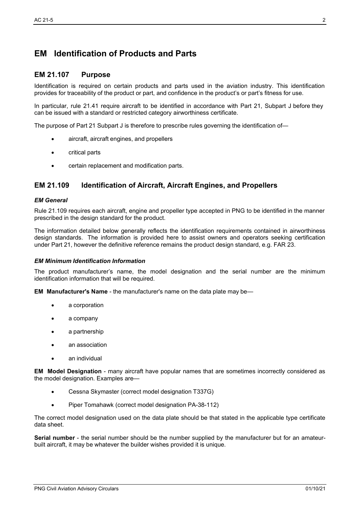# <span id="page-2-0"></span>**EM Identification of Products and Parts**

## <span id="page-2-1"></span>**EM 21.107 Purpose**

Identification is required on certain products and parts used in the aviation industry. This identification provides for traceability of the product or part, and confidence in the product's or part's fitness for use.

In particular, rule 21.41 require aircraft to be identified in accordance with Part 21, Subpart J before they can be issued with a standard or restricted category airworthiness certificate.

The purpose of Part 21 Subpart J is therefore to prescribe rules governing the identification of-

- aircraft, aircraft engines, and propellers
- critical parts
- certain replacement and modification parts.

# <span id="page-2-2"></span>**EM 21.109 Identification of Aircraft, Aircraft Engines, and Propellers**

#### *EM General*

Rule 21.109 requires each aircraft, engine and propeller type accepted in PNG to be identified in the manner prescribed in the design standard for the product.

The information detailed below generally reflects the identification requirements contained in airworthiness design standards. The information is provided here to assist owners and operators seeking certification under Part 21, however the definitive reference remains the product design standard, e.g. FAR 23.

#### *EM Minimum Identification Information*

The product manufacturer's name, the model designation and the serial number are the minimum identification information that will be required.

**EM Manufacturer's Name** - the manufacturer's name on the data plate may be—

- a corporation
- a company
- a partnership
- an association
- an individual

**EM Model Designation** - many aircraft have popular names that are sometimes incorrectly considered as the model designation. Examples are—

- Cessna Skymaster (correct model designation T337G)
- Piper Tomahawk (correct model designation PA-38-112)

The correct model designation used on the data plate should be that stated in the applicable type certificate data sheet.

**Serial number** - the serial number should be the number supplied by the manufacturer but for an amateurbuilt aircraft, it may be whatever the builder wishes provided it is unique.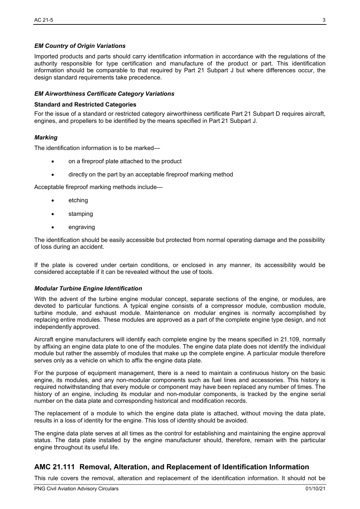#### *EM Country of Origin Variations*

Imported products and parts should carry identification information in accordance with the regulations of the authority responsible for type certification and manufacture of the product or part. This identification information should be comparable to that required by Part 21 Subpart J but where differences occur, the design standard requirements take precedence.

#### *EM Airworthiness Certificate Category Variations*

#### **Standard and Restricted Categories**

For the issue of a standard or restricted category airworthiness certificate Part 21 Subpart D requires aircraft, engines, and propellers to be identified by the means specified in Part 21 Subpart J.

#### *Marking*

The identification information is to be marked—

- on a fireproof plate attached to the product
- directly on the part by an acceptable fireproof marking method

Acceptable fireproof marking methods include—

- **etching**
- stamping
- engraving

The identification should be easily accessible but protected from normal operating damage and the possibility of loss during an accident.

If the plate is covered under certain conditions, or enclosed in any manner, its accessibility would be considered acceptable if it can be revealed without the use of tools.

#### *Modular Turbine Engine Identification*

With the advent of the turbine engine modular concept, separate sections of the engine, or modules, are devoted to particular functions. A typical engine consists of a compressor module, combustion module, turbine module, and exhaust module. Maintenance on modular engines is normally accomplished by replacing entire modules. These modules are approved as a part of the complete engine type design, and not independently approved.

Aircraft engine manufacturers will identify each complete engine by the means specified in 21.109, normally by affixing an engine data plate to one of the modules. The engine data plate does not identify the individual module but rather the assembly of modules that make up the complete engine. A particular module therefore serves only as a vehicle on which to affix the engine data plate.

For the purpose of equipment management, there is a need to maintain a continuous history on the basic engine, its modules, and any non-modular components such as fuel lines and accessories. This history is required notwithstanding that every module or component may have been replaced any number of times. The history of an engine, including its modular and non-modular components, is tracked by the engine serial number on the data plate and corresponding historical and modification records.

The replacement of a module to which the engine data plate is attached, without moving the data plate, results in a loss of identity for the engine. This loss of identity should be avoided.

The engine data plate serves at all times as the control for establishing and maintaining the engine approval status. The data plate installed by the engine manufacturer should, therefore, remain with the particular engine throughout its useful life.

# <span id="page-3-0"></span>**AMC 21.111 Removal, Alteration, and Replacement of Identification Information**

This rule covers the removal, alteration and replacement of the identification information. It should not be